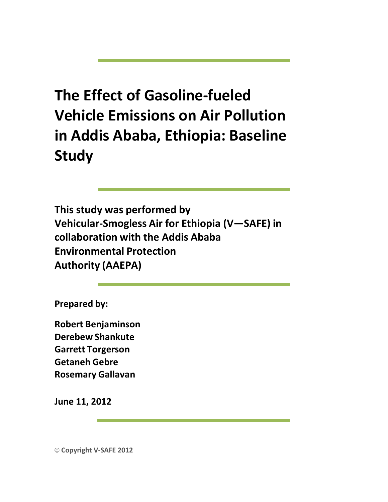## **The Effect of Gasoline-fueled Vehicle Emissions on Air Pollution in Addis Ababa, Ethiopia: Baseline Study**

**This study was performed by Vehicular-Smogless Air for Ethiopia (V—SAFE) in collaboration with the Addis Ababa Environmental Protection Authority (AAEPA)**

**Prepared by:**

**Robert Benjaminson Derebew Shankute Garrett Torgerson Getaneh Gebre Rosemary Gallavan**

**June 11, 2012**

© **Copyright V-SAFE 2012**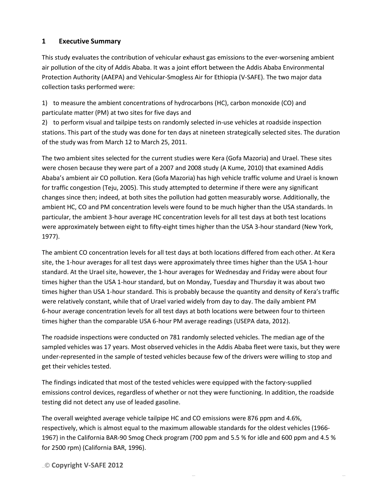## **1 Executive Summary**

This study evaluates the contribution of vehicular exhaust gas emissions to the ever-worsening ambient air pollution of the city of Addis Ababa. It was a joint effort between the Addis Ababa Environmental Protection Authority (AAEPA) and Vehicular-Smogless Air for Ethiopia (V-SAFE). The two major data collection tasks performed were:

1) to measure the ambient concentrations of hydrocarbons (HC), carbon monoxide (CO) and particulate matter (PM) at two sites for five days and

2) to perform visual and tailpipe tests on randomly selected in-use vehicles at roadside inspection stations. This part of the study was done for ten days at nineteen strategically selected sites. The duration of the study was from March 12 to March 25, 2011.

The two ambient sites selected for the current studies were Kera (Gofa Mazoria) and Urael. These sites were chosen because they were part of a 2007 and 2008 study (A Kume, 2010) that examined Addis Ababa's ambient air CO pollution. Kera (Gofa Mazoria) has high vehicle traffic volume and Urael is known for traffic congestion (Teju, 2005). This study attempted to determine if there were any significant changes since then; indeed, at both sites the pollution had gotten measurably worse. Additionally, the ambient HC, CO and PM concentration levels were found to be much higher than the USA standards. In particular, the ambient 3-hour average HC concentration levels for all test days at both test locations were approximately between eight to fifty-eight times higher than the USA 3-hour standard (New York, 1977).

The ambient CO concentration levels for all test days at both locations differed from each other. At Kera site, the 1-hour averages for all test days were approximately three times higher than the USA 1-hour standard. At the Urael site, however, the 1-hour averages for Wednesday and Friday were about four times higher than the USA 1-hour standard, but on Monday, Tuesday and Thursday it was about two times higher than USA 1-hour standard. This is probably because the quantity and density of Kera's traffic were relatively constant, while that of Urael varied widely from day to day. The daily ambient PM 6-hour average concentration levels for all test days at both locations were between four to thirteen times higher than the comparable USA 6-hour PM average readings (USEPA data, 2012).

The roadside inspections were conducted on 781 randomly selected vehicles. The median age of the sampled vehicles was 17 years. Most observed vehicles in the Addis Ababa fleet were taxis, but they were under-represented in the sample of tested vehicles because few of the drivers were willing to stop and get their vehicles tested.

The findings indicated that most of the tested vehicles were equipped with the factory-supplied emissions control devices, regardless of whether or not they were functioning. In addition, the roadside testing did not detect any use of leaded gasoline.

The overall weighted average vehicle tailpipe HC and CO emissions were 876 ppm and 4.6%, respectively, which is almost equal to the maximum allowable standards for the oldest vehicles (1966- 1967) in the California BAR-90 Smog Check program (700 ppm and 5.5 % for idle and 600 ppm and 4.5 % for 2500 rpm) (California BAR, 1996).

[Type here]© **Copyright V-SAFE 2012**